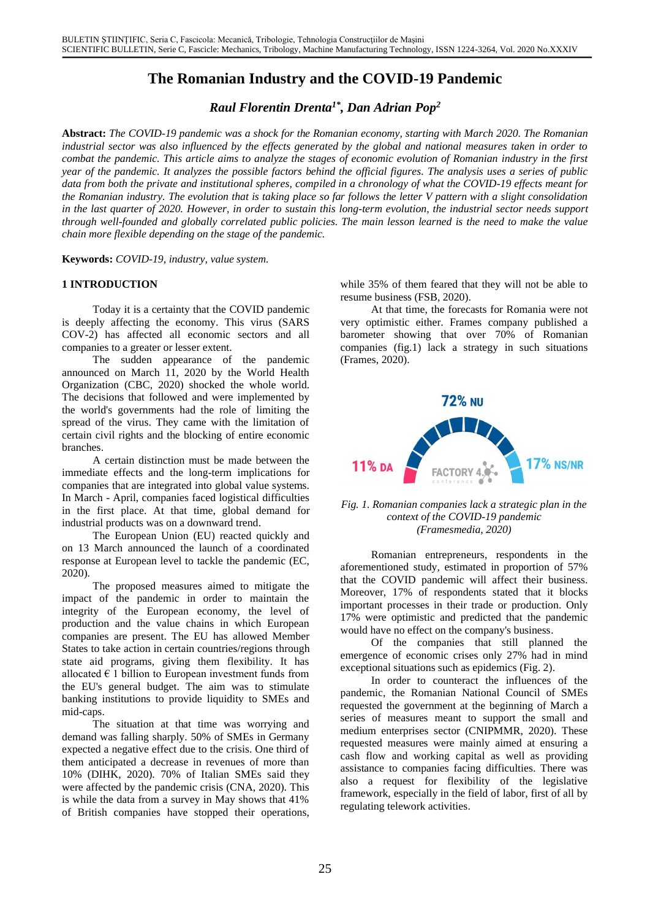# **The Romanian Industry and the COVID-19 Pandemic**

*Raul Florentin Drenta1\* , Dan Adrian Pop<sup>2</sup>*

**Abstract:** *The COVID-19 pandemic was a shock for the Romanian economy, starting with March 2020. The Romanian industrial sector was also influenced by the effects generated by the global and national measures taken in order to combat the pandemic. This article aims to analyze the stages of economic evolution of Romanian industry in the first year of the pandemic. It analyzes the possible factors behind the official figures. The analysis uses a series of public data from both the private and institutional spheres, compiled in a chronology of what the COVID-19 effects meant for the Romanian industry. The evolution that is taking place so far follows the letter V pattern with a slight consolidation in the last quarter of 2020. However, in order to sustain this long-term evolution, the industrial sector needs support through well-founded and globally correlated public policies. The main lesson learned is the need to make the value chain more flexible depending on the stage of the pandemic.*

**Keywords:** *COVID-19, industry, value system.*

Today it is a certainty that the COVID pandemic is deeply affecting the economy. This virus (SARS COV-2) has affected all economic sectors and all companies to a greater or lesser extent.

The sudden appearance of the pandemic (Frames, 2020). announced on March 11, 2020 by the World Health Organization (CBC, 2020) shocked the whole world. The decisions that followed and were implemented by the world's governments had the role of limiting the spread of the virus. They came with the limitation of certain civil rights and the blocking of entire economic branches.

A certain distinction must be made between the immediate effects and the long-term implications for companies that are integrated into global value systems. In March - April, companies faced logistical difficulties in the first place. At that time, global demand for industrial products was on a downward trend.

*(Framesmedia, 2020)* The European Union (EU) reacted quickly and on 13 March announced the launch of a coordinated response at European level to tackle the pandemic (EC, 2020).

The proposed measures aimed to mitigate the impact of the pandemic in order to maintain the integrity of the European economy, the level of production and the value chains in which European companies are present. The EU has allowed Member States to take action in certain countries/regions through state aid programs, giving them flexibility. It has allocated  $\epsilon$  1 billion to European investment funds from the EU's general budget. The aim was to stimulate banking institutions to provide liquidity to SMEs and mid-caps.

The situation at that time was worrying and demand was falling sharply. 50% of SMEs in Germany expected a negative effect due to the crisis. One third of them anticipated a decrease in revenues of more than 10% (DIHK, 2020). 70% of Italian SMEs said they were affected by the pandemic crisis (CNA, 2020). This is while the data from a survey in May shows that 41% of British companies have stopped their operations,

**1 INTRODUCTION** while 35% of them feared that they will not be able to resume business (FSB, 2020).

> At that time, the forecasts for Romania were not very optimistic either. Frames company published a barometer showing that over 70% of Romanian companies (fig.1) lack a strategy in such situations



*Fig. 1. Romanian companies lack a strategic plan in the context of the COVID-19 pandemic*

Romanian entrepreneurs, respondents in the aforementioned study, estimated in proportion of 57% that the COVID pandemic will affect their business. Moreover, 17% of respondents stated that it blocks important processes in their trade or production. Only 17% were optimistic and predicted that the pandemic would have no effect on the company's business.

Of the companies that still planned the emergence of economic crises only 27% had in mind exceptional situations such as epidemics (Fig. 2).

In order to counteract the influences of the pandemic, the Romanian National Council of SMEs requested the government at the beginning of March a series of measures meant to support the small and medium enterprises sector (CNIPMMR, 2020). These requested measures were mainly aimed at ensuring a cash flow and working capital as well as providing assistance to companies facing difficulties. There was also a request for flexibility of the legislative framework, especially in the field of labor, first of all by regulating telework activities.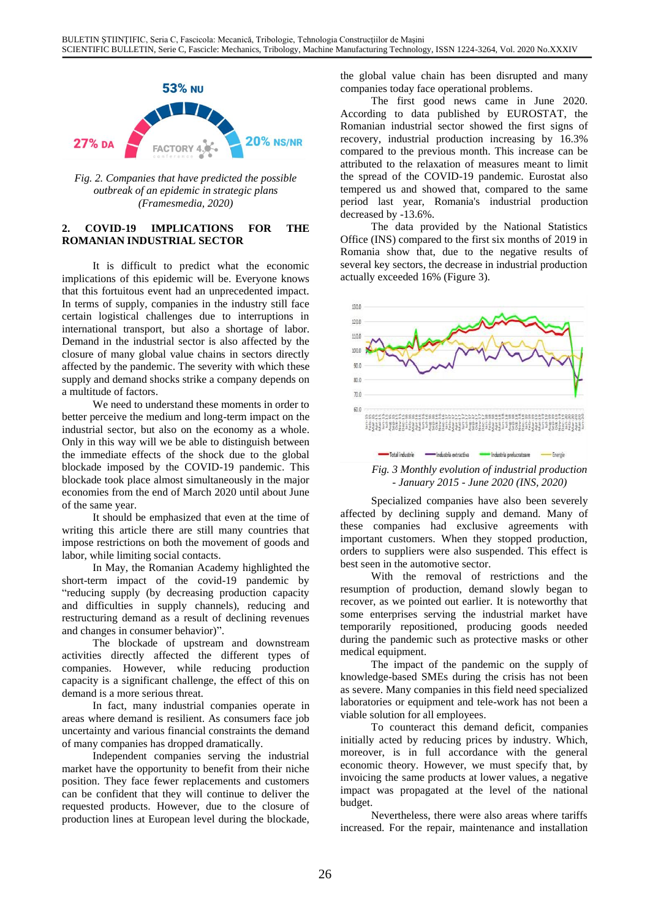

*Fig. 2. Companies that have predicted the possible outbreak of an epidemic in strategic plans (Framesmedia, 2020)*

### **2. COVID-19 IMPLICATIONS FOR THE ROMANIAN INDUSTRIAL SECTOR**

It is difficult to predict what the economic implications of this epidemic will be. Everyone knows that this fortuitous event had an unprecedented impact. In terms of supply, companies in the industry still face certain logistical challenges due to interruptions in international transport, but also a shortage of labor. Demand in the industrial sector is also affected by the closure of many global value chains in sectors directly affected by the pandemic. The severity with which these supply and demand shocks strike a company depends on a multitude of factors.

We need to understand these moments in order to better perceive the medium and long-term impact on the industrial sector, but also on the economy as a whole. Only in this way will we be able to distinguish between the immediate effects of the shock due to the global blockade imposed by the COVID-19 pandemic. This blockade took place almost simultaneously in the major economies from the end of March 2020 until about June of the same year.

It should be emphasized that even at the time of writing this article there are still many countries that impose restrictions on both the movement of goods and labor, while limiting social contacts.

In May, the Romanian Academy highlighted the short-term impact of the covid-19 pandemic by "reducing supply (by decreasing production capacity and difficulties in supply channels), reducing and restructuring demand as a result of declining revenues and changes in consumer behavior)".

The blockade of upstream and downstream activities directly affected the different types of companies. However, while reducing production capacity is a significant challenge, the effect of this on demand is a more serious threat.

In fact, many industrial companies operate in areas where demand is resilient. As consumers face job uncertainty and various financial constraints the demand of many companies has dropped dramatically.

Independent companies serving the industrial market have the opportunity to benefit from their niche position. They face fewer replacements and customers can be confident that they will continue to deliver the requested products. However, due to the closure of production lines at European level during the blockade, Nevertheless, there were also areas where tariffs

the global value chain has been disrupted and many companies today face operational problems.

The first good news came in June 2020. According to data published by EUROSTAT, the Romanian industrial sector showed the first signs of recovery, industrial production increasing by 16.3% compared to the previous month. This increase can be attributed to the relaxation of measures meant to limit the spread of the COVID-19 pandemic. Eurostat also tempered us and showed that, compared to the same period last year, Romania's industrial production decreased by -13.6%.

The data provided by the National Statistics Office (INS) compared to the first six months of 2019 in Romania show that, due to the negative results of several key sectors, the decrease in industrial production actually exceeded 16% (Figure 3).



*Fig. 3 Monthly evolution of industrial production - January 2015 - June 2020 (INS, 2020)*

Specialized companies have also been severely affected by declining supply and demand. Many of these companies had exclusive agreements with important customers. When they stopped production, orders to suppliers were also suspended. This effect is best seen in the automotive sector.

With the removal of restrictions and the resumption of production, demand slowly began to recover, as we pointed out earlier. It is noteworthy that some enterprises serving the industrial market have temporarily repositioned, producing goods needed during the pandemic such as protective masks or other medical equipment.

The impact of the pandemic on the supply of knowledge-based SMEs during the crisis has not been as severe. Many companies in this field need specialized laboratories or equipment and tele-work has not been a viable solution for all employees.

To counteract this demand deficit, companies initially acted by reducing prices by industry. Which, moreover, is in full accordance with the general economic theory. However, we must specify that, by invoicing the same products at lower values, a negative impact was propagated at the level of the national budget.

increased. For the repair, maintenance and installation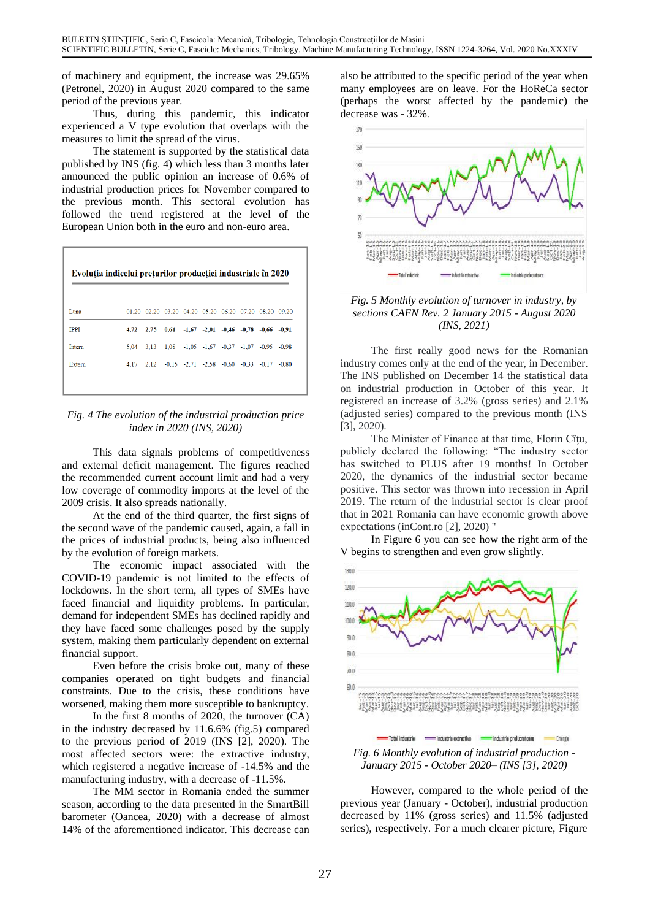of machinery and equipment, the increase was 29.65% (Petronel, 2020) in August 2020 compared to the same period of the previous year.

Thus, during this pandemic, this indicator decrease was - 32%. experienced a V type evolution that overlaps with the measures to limit the spread of the virus.

The statement is supported by the statistical data published by INS (fig. 4) which less than 3 months later announced the public opinion an increase of 0.6% of industrial production prices for November compared to the previous month. This sectoral evolution has followed the trend registered at the level of the European Union both in the euro and non-euro area.

| Evoluția indicelui prețurilor producției industriale în 2020 |      |  |                                                                |  |  |
|--------------------------------------------------------------|------|--|----------------------------------------------------------------|--|--|
|                                                              |      |  |                                                                |  |  |
| Luna                                                         |      |  | 01.20 02.20 03.20 04.20 05.20 06.20 07.20 08.20 09.20          |  |  |
| <b>IPPI</b>                                                  | 4.72 |  | $2.75$ $0.61$ $-1.67$ $-2.01$ $-0.46$ $-0.78$ $-0.66$ $-0.91$  |  |  |
| Intern                                                       | 5.04 |  | 3.13 1.08 -1.05 -1.67 -0.37 -1.07 -0.95 -0.98                  |  |  |
| Extern                                                       | 4.17 |  | $2,12$ $-0,15$ $-2,71$ $-2,58$ $-0,60$ $-0,33$ $-0,17$ $-0,80$ |  |  |
|                                                              |      |  |                                                                |  |  |



This data signals problems of competitiveness and external deficit management. The figures reached the recommended current account limit and had a very low coverage of commodity imports at the level of the 2009 crisis. It also spreads nationally.

At the end of the third quarter, the first signs of the second wave of the pandemic caused, again, a fall in the prices of industrial products, being also influenced by the evolution of foreign markets.

The economic impact associated with the COVID-19 pandemic is not limited to the effects of lockdowns. In the short term, all types of SMEs have faced financial and liquidity problems. In particular, demand for independent SMEs has declined rapidly and they have faced some challenges posed by the supply system, making them particularly dependent on external financial support.

Even before the crisis broke out, many of these companies operated on tight budgets and financial constraints. Due to the crisis, these conditions have worsened, making them more susceptible to bankruptcy.

In the first 8 months of 2020, the turnover (CA) in the industry decreased by 11.6.6% (fig.5) compared to the previous period of 2019 (INS [2], 2020). The most affected sectors were: the extractive industry, which registered a negative increase of -14.5% and the manufacturing industry, with a decrease of -11.5%.

The MM sector in Romania ended the summer season, according to the data presented in the SmartBill barometer (Oancea, 2020) with a decrease of almost 14% of the aforementioned indicator. This decrease can also be attributed to the specific period of the year when many employees are on leave. For the HoReCa sector (perhaps the worst affected by the pandemic) the





The first really good news for the Romanian industry comes only at the end of the year, in December. The INS published on December 14 the statistical data on industrial production in October of this year. It registered an increase of 3.2% (gross series) and 2.1% (adjusted series) compared to the previous month (INS [3], 2020).

The Minister of Finance at that time, Florin Cîtu, publicly declared the following: "The industry sector has switched to PLUS after 19 months! In October 2020, the dynamics of the industrial sector became positive. This sector was thrown into recession in April 2019. The return of the industrial sector is clear proof that in 2021 Romania can have economic growth above expectations (inCont.ro [2], 2020) "

In Figure 6 you can see how the right arm of the V begins to strengthen and even grow slightly.



However, compared to the whole period of the previous year (January - October), industrial production decreased by 11% (gross series) and 11.5% (adjusted series), respectively. For a much clearer picture, Figure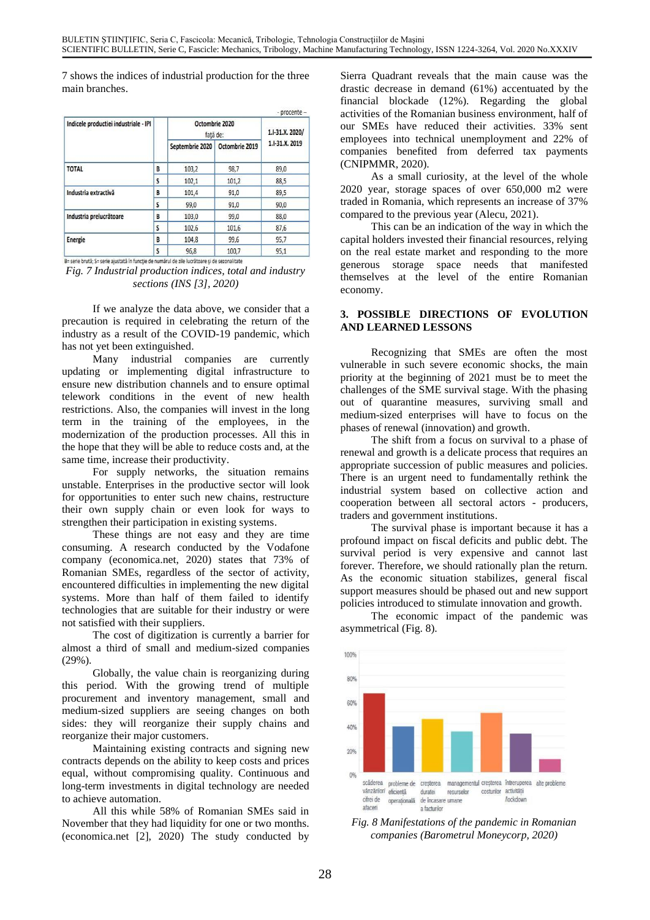7 shows the indices of industrial production for the three main branches.

| Indicele productiei industriale - IPI |   | Octombrie 2020<br>fată de: |                | 1.I-31.X. 2020/ |  |
|---------------------------------------|---|----------------------------|----------------|-----------------|--|
|                                       |   | Septembrie 2020            | Octombrie 2019 | 1.1-31.X. 2019  |  |
| <b>TOTAL</b>                          | B | 103,2                      | 98,7           | 89,0            |  |
|                                       | S | 102,1                      | 101,2          | 88,5            |  |
| Industria extractivă                  | B | 101,4                      | 91,0           | 89,5            |  |
|                                       | S | 99,0                       | 91,0           | 90,0            |  |
| Industria prelucrătoare               | B | 103,0                      | 99,0           | 88,0            |  |
|                                       | S | 102,6                      | 101,6          | 87,6            |  |
| <b>Energie</b>                        | B | 104.8                      | 99,6           | 95,7            |  |
|                                       | S | 96.8                       | 100.7          | 95.1            |  |

B= serie brută; S= serie ajustată în funcție de numărul de zile lucrătoare și de sezonalitate

*Fig. 7 Industrial production indices, total and industry sections (INS [3], 2020)*

If we analyze the data above, we consider that a precaution is required in celebrating the return of the industry as a result of the COVID-19 pandemic, which has not yet been extinguished.

Many industrial companies are currently updating or implementing digital infrastructure to ensure new distribution channels and to ensure optimal telework conditions in the event of new health restrictions. Also, the companies will invest in the long term in the training of the employees, in the modernization of the production processes. All this in the hope that they will be able to reduce costs and, at the same time, increase their productivity.

For supply networks, the situation remains unstable. Enterprises in the productive sector will look for opportunities to enter such new chains, restructure their own supply chain or even look for ways to strengthen their participation in existing systems.

These things are not easy and they are time consuming. A research conducted by the Vodafone company (economica.net, 2020) states that 73% of Romanian SMEs, regardless of the sector of activity, encountered difficulties in implementing the new digital systems. More than half of them failed to identify technologies that are suitable for their industry or were not satisfied with their suppliers.

The cost of digitization is currently a barrier for almost a third of small and medium-sized companies  $(29\%)$ .

Globally, the value chain is reorganizing during this period. With the growing trend of multiple procurement and inventory management, small and medium-sized suppliers are seeing changes on both sides: they will reorganize their supply chains and reorganize their major customers.

Maintaining existing contracts and signing new contracts depends on the ability to keep costs and prices equal, without compromising quality. Continuous and long-term investments in digital technology are needed to achieve automation.

All this while 58% of Romanian SMEs said in November that they had liquidity for one or two months. (economica.net [2], 2020) The study conducted by Sierra Quadrant reveals that the main cause was the drastic decrease in demand (61%) accentuated by the financial blockade (12%). Regarding the global activities of the Romanian business environment, half of our SMEs have reduced their activities. 33% sent employees into technical unemployment and 22% of companies benefited from deferred tax payments (CNIPMMR, 2020).

As a small curiosity, at the level of the whole 2020 year, storage spaces of over 650,000 m2 were traded in Romania, which represents an increase of 37% compared to the previous year (Alecu, 2021).

This can be an indication of the way in which the capital holders invested their financial resources, relying on the real estate market and responding to the more generous storage space needs that manifested themselves at the level of the entire Romanian economy.

#### **3. POSSIBLE DIRECTIONS OF EVOLUTION AND LEARNED LESSONS**

Recognizing that SMEs are often the most vulnerable in such severe economic shocks, the main priority at the beginning of 2021 must be to meet the challenges of the SME survival stage. With the phasing out of quarantine measures, surviving small and medium-sized enterprises will have to focus on the phases of renewal (innovation) and growth.

The shift from a focus on survival to a phase of renewal and growth is a delicate process that requires an appropriate succession of public measures and policies. There is an urgent need to fundamentally rethink the industrial system based on collective action and cooperation between all sectoral actors - producers, traders and government institutions.

The survival phase is important because it has a profound impact on fiscal deficits and public debt. The survival period is very expensive and cannot last forever. Therefore, we should rationally plan the return. As the economic situation stabilizes, general fiscal support measures should be phased out and new support policies introduced to stimulate innovation and growth.

The economic impact of the pandemic was asymmetrical (Fig. 8).



*Fig. 8 Manifestations of the pandemic in Romanian companies (Barometrul Moneycorp, 2020)*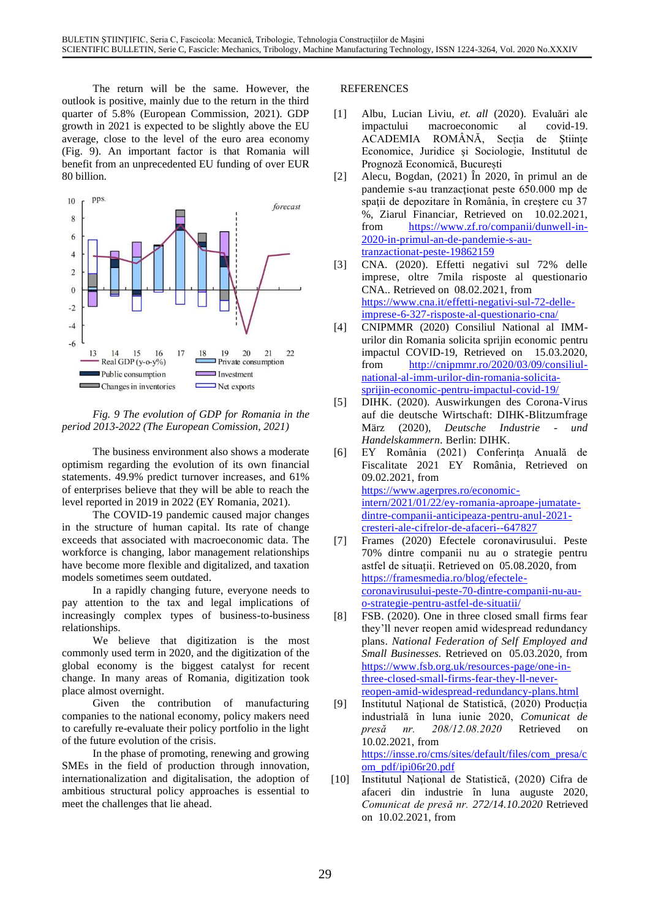The return will be the same. However, the outlook is positive, mainly due to the return in the third quarter of 5.8% (European Commission, 2021). GDP growth in 2021 is expected to be slightly above the EU average, close to the level of the euro area economy (Fig. 9). An important factor is that Romania will benefit from an unprecedented EU funding of over EUR 80 billion.



*Fig. 9 The evolution of GDP for Romania in the period 2013-2022 (The European Comission, 2021)*

The business environment also shows a moderate optimism regarding the evolution of its own financial statements. 49.9% predict turnover increases, and 61% of enterprises believe that they will be able to reach the level reported in 2019 in 2022 (EY Romania, 2021).

The COVID-19 pandemic caused major changes in the structure of human capital. Its rate of change exceeds that associated with macroeconomic data. The workforce is changing, labor management relationships have become more flexible and digitalized, and taxation models sometimes seem outdated.

In a rapidly changing future, everyone needs to pay attention to the tax and legal implications of increasingly complex types of business-to-business relationships.

We believe that digitization is the most commonly used term in 2020, and the digitization of the global economy is the biggest catalyst for recent change. In many areas of Romania, digitization took place almost overnight.

Given the contribution of manufacturing companies to the national economy, policy makers need to carefully re-evaluate their policy portfolio in the light of the future evolution of the crisis.

In the phase of promoting, renewing and growing SMEs in the field of production through innovation, internationalization and digitalisation, the adoption of ambitious structural policy approaches is essential to meet the challenges that lie ahead.

### **REFERENCES**

- [1] Albu, Lucian Liviu, *et. all* (2020). Evaluări ale impactului macroeconomic al covid-19. ACADEMIA ROMÂNĂ, Secția de Ştiințe Economice, Juridice şi Sociologie, Institutul de Prognoză Economică, București
- [2] Alecu, Bogdan, (2021) În 2020, în primul an de pandemie s-au tranzactionat peste 650.000 mp de spaţii de depozitare în România, în creştere cu 37 %, Ziarul Financiar, Retrieved on 10.02.2021, from [https://www.zf.ro/companii/dunwell-in-](https://www.zf.ro/companii/dunwell-in-2020-in-primul-an-de-pandemie-s-au-tranzactionat-peste-19862159)[2020-in-primul-an-de-pandemie-s-au](https://www.zf.ro/companii/dunwell-in-2020-in-primul-an-de-pandemie-s-au-tranzactionat-peste-19862159)[tranzactionat-peste-19862159](https://www.zf.ro/companii/dunwell-in-2020-in-primul-an-de-pandemie-s-au-tranzactionat-peste-19862159)
- [3] CNA. (2020). Effetti negativi sul 72% delle imprese, oltre 7mila risposte al questionario CNA.. Retrieved on 08.02.2021, from [https://www.cna.it/effetti-negativi-sul-72-delle](https://www.cna.it/effetti-negativi-sul-72-delle-imprese-6-327-risposte-al-questionario-cna/)[imprese-6-327-risposte-al-questionario-cna/](https://www.cna.it/effetti-negativi-sul-72-delle-imprese-6-327-risposte-al-questionario-cna/)
- [4] CNIPMMR (2020) Consiliul National al IMMurilor din Romania solicita sprijin economic pentru impactul COVID-19, Retrieved on 15.03.2020, from [http://cnipmmr.ro/2020/03/09/consiliul](http://cnipmmr.ro/2020/03/09/consiliul-national-al-imm-urilor-din-romania-solicita-sprijin-economic-pentru-impactul-covid-19/)[national-al-imm-urilor-din-romania-solicita](http://cnipmmr.ro/2020/03/09/consiliul-national-al-imm-urilor-din-romania-solicita-sprijin-economic-pentru-impactul-covid-19/)[sprijin-economic-pentru-impactul-covid-19/](http://cnipmmr.ro/2020/03/09/consiliul-national-al-imm-urilor-din-romania-solicita-sprijin-economic-pentru-impactul-covid-19/)
- [5] DIHK. (2020). Auswirkungen des Corona-Virus auf die deutsche Wirtschaft: DIHK-Blitzumfrage März (2020), *Deutsche Industrie - und Handelskammern*. Berlin: DIHK.
- [6] EY România (2021) Conferinţa Anuală de Fiscalitate 2021 EY România, Retrieved on 09.02.2021, from [https://www.agerpres.ro/economic](https://www.agerpres.ro/economic-intern/2021/01/22/ey-romania-aproape-jumatate-dintre-companii-anticipeaza-pentru-anul-2021-cresteri-ale-cifrelor-de-afaceri--647827)[intern/2021/01/22/ey-romania-aproape-jumatate](https://www.agerpres.ro/economic-intern/2021/01/22/ey-romania-aproape-jumatate-dintre-companii-anticipeaza-pentru-anul-2021-cresteri-ale-cifrelor-de-afaceri--647827)[dintre-companii-anticipeaza-pentru-anul-2021](https://www.agerpres.ro/economic-intern/2021/01/22/ey-romania-aproape-jumatate-dintre-companii-anticipeaza-pentru-anul-2021-cresteri-ale-cifrelor-de-afaceri--647827) [cresteri-ale-cifrelor-de-afaceri--647827](https://www.agerpres.ro/economic-intern/2021/01/22/ey-romania-aproape-jumatate-dintre-companii-anticipeaza-pentru-anul-2021-cresteri-ale-cifrelor-de-afaceri--647827)
- [7] Frames (2020) Efectele coronavirusului. Peste 70% dintre companii nu au o strategie pentru astfel de situații. Retrieved on 05.08.2020, from [https://framesmedia.ro/blog/efectele](https://framesmedia.ro/blog/efectele-coronavirusului-peste-70-dintre-companii-nu-au-o-strategie-pentru-astfel-de-situatii/)[coronavirusului-peste-70-dintre-companii-nu-au](https://framesmedia.ro/blog/efectele-coronavirusului-peste-70-dintre-companii-nu-au-o-strategie-pentru-astfel-de-situatii/)[o-strategie-pentru-astfel-de-situatii/](https://framesmedia.ro/blog/efectele-coronavirusului-peste-70-dintre-companii-nu-au-o-strategie-pentru-astfel-de-situatii/)
- [8] FSB. (2020). One in three closed small firms fear they'll never reopen amid widespread redundancy plans. *National Federation of Self Employed and Small Businesses.* Retrieved on 05.03.2020, from [https://www.fsb.org.uk/resources-page/one-in](https://www.fsb.org.uk/resources-page/one-in-three-closed-small-firms-fear-they-ll-never-reopen-amid-widespread-redundancy-plans.html)[three-closed-small-firms-fear-they-ll-never](https://www.fsb.org.uk/resources-page/one-in-three-closed-small-firms-fear-they-ll-never-reopen-amid-widespread-redundancy-plans.html)[reopen-amid-widespread-redundancy-plans.html](https://www.fsb.org.uk/resources-page/one-in-three-closed-small-firms-fear-they-ll-never-reopen-amid-widespread-redundancy-plans.html)
- [9] Institutul Naţional de Statistică, (2020) Producția industrială în luna iunie 2020, *Comunicat de presă nr. 208/12.08.2020* Retrieved 10.02.2021, from [https://insse.ro/cms/sites/default/files/com\\_presa/c](https://insse.ro/cms/sites/default/files/com_presa/com_pdf/ipi06r20.pdf) [om\\_pdf/ipi06r20.pdf](https://insse.ro/cms/sites/default/files/com_presa/com_pdf/ipi06r20.pdf)
- [10] Institutul Naţional de Statistică, (2020) Cifra de afaceri din industrie în luna auguste 2020, *Comunicat de presă nr. 272/14.10.2020* Retrieved on 10.02.2021, from